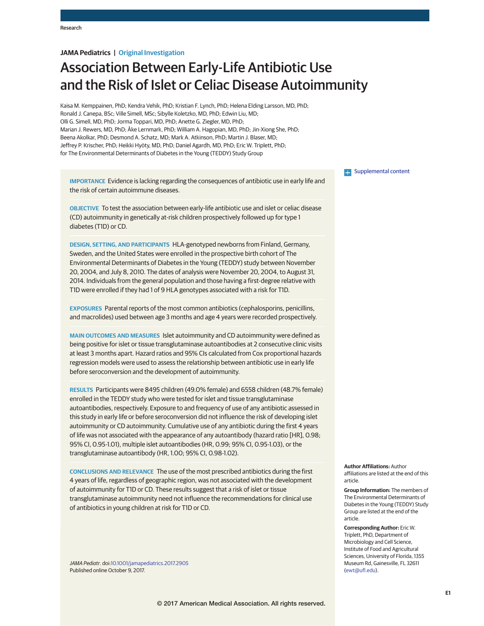## **JAMA Pediatrics | Original Investigation**

# Association Between Early-Life Antibiotic Use and the Risk of Islet or Celiac Disease Autoimmunity

Kaisa M. Kemppainen, PhD; Kendra Vehik, PhD; Kristian F. Lynch, PhD; Helena Elding Larsson, MD, PhD; Ronald J. Canepa, BSc; Ville Simell, MSc; Sibylle Koletzko, MD, PhD; Edwin Liu, MD; Olli G. Simell, MD, PhD; Jorma Toppari, MD, PhD; Anette G. Ziegler, MD, PhD; Marian J. Rewers, MD, PhD; Åke Lernmark, PhD; William A. Hagopian, MD, PhD; Jin-Xiong She, PhD; Beena Akolkar, PhD; Desmond A. Schatz, MD; Mark A. Atkinson, PhD; Martin J. Blaser, MD; Jeffrey P. Krischer, PhD; Heikki Hyöty, MD, PhD; Daniel Agardh, MD, PhD; Eric W. Triplett, PhD; for The Environmental Determinants of Diabetes in the Young (TEDDY) Study Group

**IMPORTANCE** Evidence is lacking regarding the consequences of antibiotic use in early life and the risk of certain autoimmune diseases.

**OBJECTIVE** To test the association between early-life antibiotic use and islet or celiac disease (CD) autoimmunity in genetically at-risk children prospectively followed up for type 1 diabetes (T1D) or CD.

**DESIGN, SETTING, AND PARTICIPANTS** HLA-genotyped newborns from Finland, Germany, Sweden, and the United States were enrolled in the prospective birth cohort of The Environmental Determinants of Diabetes in the Young (TEDDY) study between November 20, 2004, and July 8, 2010. The dates of analysis were November 20, 2004, to August 31, 2014. Individuals from the general population and those having a first-degree relative with T1D were enrolled if they had 1 of 9 HLA genotypes associated with a risk for T1D.

**EXPOSURES** Parental reports of the most common antibiotics (cephalosporins, penicillins, and macrolides) used between age 3 months and age 4 years were recorded prospectively.

**MAIN OUTCOMES AND MEASURES** Islet autoimmunity and CD autoimmunity were defined as being positive for islet or tissue transglutaminase autoantibodies at 2 consecutive clinic visits at least 3 months apart. Hazard ratios and 95% CIs calculated from Cox proportional hazards regression models were used to assess the relationship between antibiotic use in early life before seroconversion and the development of autoimmunity.

**RESULTS** Participants were 8495 children (49.0% female) and 6558 children (48.7% female) enrolled in the TEDDY study who were tested for islet and tissue transglutaminase autoantibodies, respectively. Exposure to and frequency of use of any antibiotic assessed in this study in early life or before seroconversion did not influence the risk of developing islet autoimmunity or CD autoimmunity. Cumulative use of any antibiotic during the first 4 years of life was not associated with the appearance of any autoantibody (hazard ratio [HR], 0.98; 95% CI, 0.95-1.01), multiple islet autoantibodies (HR, 0.99; 95% CI, 0.95-1.03), or the transglutaminase autoantibody (HR, 1.00; 95% CI, 0.98-1.02).

**CONCLUSIONS AND RELEVANCE** The use of the most prescribed antibiotics during the first 4 years of life, regardless of geographic region, was not associated with the development of autoimmunity for T1D or CD. These results suggest that a risk of islet or tissue transglutaminase autoimmunity need not influence the recommendations for clinical use of antibiotics in young children at risk for T1D or CD.

JAMA Pediatr. doi[:10.1001/jamapediatrics.2017.2905](http://jama.jamanetwork.com/article.aspx?doi=10.1001/jamapediatrics.2017.2905&utm_campaign=articlePDF%26utm_medium=articlePDFlink%26utm_source=articlePDF%26utm_content=jamapediatrics.2017.2905) Published online October 9, 2017.

**Examplemental content** 

**Author Affiliations:** Author affiliations are listed at the end of this article.

**Group Information:** The members of The Environmental Determinants of Diabetes in the Young (TEDDY) Study Group are listed at the end of the article.

**Corresponding Author:** Eric W. Triplett, PhD, Department of Microbiology and Cell Science, Institute of Food and Agricultural Sciences, University of Florida, 1355 Museum Rd, Gainesville, FL 32611 [\(ewt@ufl.edu\)](mailto:ewt@ufl.edu).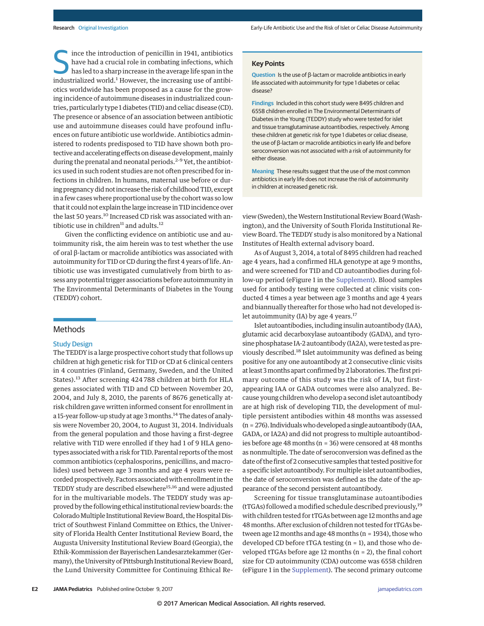S ince the introduction of penicillin in 1941, antibiotics have had a crucial role in combating infections, which has led to a sharp increase in the average life span in the industrialized world.<sup>1</sup> However, the increasing use of antibiotics worldwide has been proposed as a cause for the growing incidence of autoimmune diseases in industrialized countries, particularly type 1 diabetes (T1D) and celiac disease (CD). The presence or absence of an association between antibiotic use and autoimmune diseases could have profound influences on future antibiotic use worldwide. Antibiotics administered to rodents predisposed to T1D have shown both protective and accelerating effects on disease development, mainly during the prenatal and neonatal periods.<sup>2-9</sup> Yet, the antibiotics used in such rodent studies are not often prescribed for infections in children. In humans, maternal use before or during pregnancy did not increase the risk of childhood T1D, except in a few cases where proportional use by the cohort was so low that it could not explain the large increase in T1D incidence over the last 50 years.<sup>10</sup> Increased CD risk was associated with antibiotic use in children $^{11}$  and adults.<sup>12</sup>

Given the conflicting evidence on antibiotic use and autoimmunity risk, the aim herein was to test whether the use of oral β-lactam or macrolide antibiotics was associated with autoimmunity for T1D or CD during the first 4 years of life. Antibiotic use was investigated cumulatively from birth to assess any potential trigger associations before autoimmunity in The Environmental Determinants of Diabetes in the Young (TEDDY) cohort.

#### **Methods**

#### Study Design

The TEDDY is a large prospective cohort study that follows up children at high genetic risk for T1D or CD at 6 clinical centers in 4 countries (Finland, Germany, Sweden, and the United States).<sup>13</sup> After screening 424 788 children at birth for HLA genes associated with T1D and CD between November 20, 2004, and July 8, 2010, the parents of 8676 genetically atrisk children gave written informed consent for enrollment in a 15-year follow-up study at age 3 months.<sup>14</sup> The dates of analysis were November 20, 2004, to August 31, 2014. Individuals from the general population and those having a first-degree relative with T1D were enrolled if they had 1 of 9 HLA genotypes associated with a risk for T1D. Parental reports of the most common antibiotics (cephalosporins, penicillins, and macrolides) used between age 3 months and age 4 years were recorded prospectively. Factors associated with enrollment in the TEDDY study are described elsewhere<sup>15,16</sup> and were adjusted for in the multivariable models. The TEDDY study was approved by the following ethical institutional review boards: the Colorado Multiple Institutional Review Board, the Hospital District of Southwest Finland Committee on Ethics, the University of Florida Health Center Institutional Review Board, the Augusta University Institutional Review Board (Georgia), the Ethik-Kommission der Bayerischen Landesarztekammer (Germany), the University of Pittsburgh Institutional Review Board, the Lund University Committee for Continuing Ethical Re**Key Points**

**Question** Is the use of β-lactam or macrolide antibiotics in early life associated with autoimmunity for type 1 diabetes or celiac disease?

**Findings** Included in this cohort study were 8495 children and 6558 children enrolled in The Environmental Determinants of Diabetes in the Young (TEDDY) study who were tested for islet and tissue transglutaminase autoantibodies, respectively. Among these children at genetic risk for type 1 diabetes or celiac disease, the use of β-lactam or macrolide antibiotics in early life and before seroconversion was not associated with a risk of autoimmunity for either disease.

**Meaning** These results suggest that the use of the most common antibiotics in early life does not increase the risk of autoimmunity in children at increased genetic risk.

view (Sweden), the Western Institutional Review Board (Washington), and the University of South Florida Institutional Review Board. The TEDDY study is also monitored by a National Institutes of Health external advisory board.

As of August 3, 2014, a total of 8495 children had reached age 4 years, had a confirmed HLA genotype at age 9 months, and were screened for T1D and CD autoantibodies during follow-up period (eFigure 1 in the [Supplement\)](http://jama.jamanetwork.com/article.aspx?doi=10.1001/jamapediatrics.2017.2905&utm_campaign=articlePDF%26utm_medium=articlePDFlink%26utm_source=articlePDF%26utm_content=jamapediatrics.2017.2905). Blood samples used for antibody testing were collected at clinic visits conducted 4 times a year between age 3 months and age 4 years and biannually thereafter for those who had not developed islet autoimmunity (IA) by age 4 years. $17$ 

Islet autoantibodies, including insulin autoantibody (IAA), glutamic acid decarboxylase autoantibody (GADA), and tyrosine phosphatase IA-2 autoantibody (IA2A), were tested as previously described.<sup>18</sup> Islet autoimmunity was defined as being positive for any one autoantibody at 2 consecutive clinic visits at least 3months apart confirmed by 2 laboratories. The first primary outcome of this study was the risk of IA, but firstappearing IAA or GADA outcomes were also analyzed. Because young children who develop a second islet autoantibody are at high risk of developing T1D, the development of multiple persistent antibodies within 48 months was assessed  $(n = 276)$ . Individuals who developed a single autoantibody (IAA, GADA, or IA2A) and did not progress to multiple autoantibodies before age 48 months (n = 36) were censored at 48 months as nonmultiple. The date of seroconversion was defined as the date of the first of 2 consecutive samples that tested positive for a specific islet autoantibody. For multiple islet autoantibodies, the date of seroconversion was defined as the date of the appearance of the second persistent autoantibody.

Screening for tissue transglutaminase autoantibodies (tTGAs) followed a modified schedule described previously,<sup>19</sup> with children tested for tTGAs between age 12 months and age 48months. After exclusion of children not tested for tTGAs between age 12 months and age 48 months (n = 1934), those who developed CD before tTGA testing (n = 1), and those who developed tTGAs before age 12 months ( $n = 2$ ), the final cohort size for CD autoimmunity (CDA) outcome was 6558 children (eFigure 1 in the [Supplement\)](http://jama.jamanetwork.com/article.aspx?doi=10.1001/jamapediatrics.2017.2905&utm_campaign=articlePDF%26utm_medium=articlePDFlink%26utm_source=articlePDF%26utm_content=jamapediatrics.2017.2905). The second primary outcome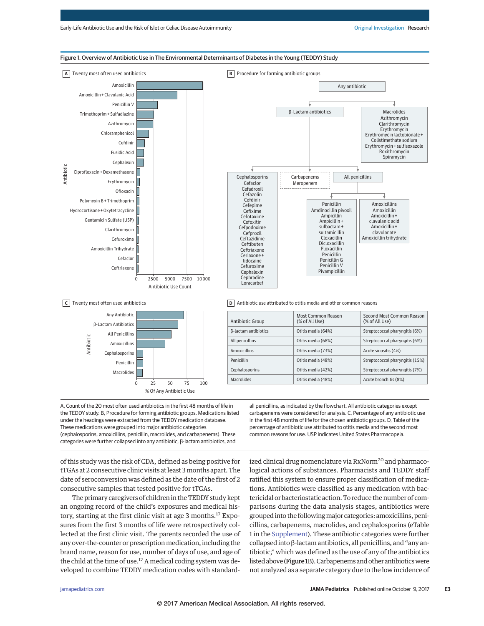

A, Count of the 20 most often used antibiotics in the first 48 months of life in the TEDDY study. B, Procedure for forming antibiotic groups. Medications listed under the headings were extracted from the TEDDY medication database. These medications were grouped into major antibiotic categories (cephalosporins, amoxicillins, penicillin, macrolides, and carbapenems). These categories were further collapsed into any antibiotic, β-lactam antibiotics, and

all penicillins, as indicated by the flowchart. All antibiotic categories except carbapenems were considered for analysis. C, Percentage of any antibiotic use in the first 48 months of life for the chosen antibiotic groups. D, Table of the percentage of antibiotic use attributed to otitis media and the second most common reasons for use. USP indicates United States Pharmacopeia.

of this study was the risk of CDA, defined as being positive for tTGAs at 2 consecutive clinic visits at least 3 months apart. The date of seroconversion was defined as the date of the first of 2 consecutive samples that tested positive for tTGAs.

The primary caregivers of children in the TEDDY study kept an ongoing record of the child's exposures and medical history, starting at the first clinic visit at age 3 months.<sup>17</sup> Exposures from the first 3 months of life were retrospectively collected at the first clinic visit. The parents recorded the use of any over-the-counter or prescription medication, including the brand name, reason for use, number of days of use, and age of the child at the time of use.<sup>17</sup> A medical coding system was developed to combine TEDDY medication codes with standardized clinical drug nomenclature via RxNorm<sup>20</sup> and pharmacological actions of substances. Pharmacists and TEDDY staff ratified this system to ensure proper classification of medications. Antibiotics were classified as any medication with bactericidal or bacteriostatic action. To reduce the number of comparisons during the data analysis stages, antibiotics were grouped into the followingmajor categories: amoxicillins, penicillins, carbapenems, macrolides, and cephalosporins (eTable 1 in the [Supplement\)](http://jama.jamanetwork.com/article.aspx?doi=10.1001/jamapediatrics.2017.2905&utm_campaign=articlePDF%26utm_medium=articlePDFlink%26utm_source=articlePDF%26utm_content=jamapediatrics.2017.2905). These antibiotic categories were further collapsed into β-lactam antibiotics, all penicillins, and "any antibiotic," which was defined as the use of any of the antibiotics listed above (Figure 1B). Carbapenems and other antibiotics were not analyzed as a separate category due to the low incidence of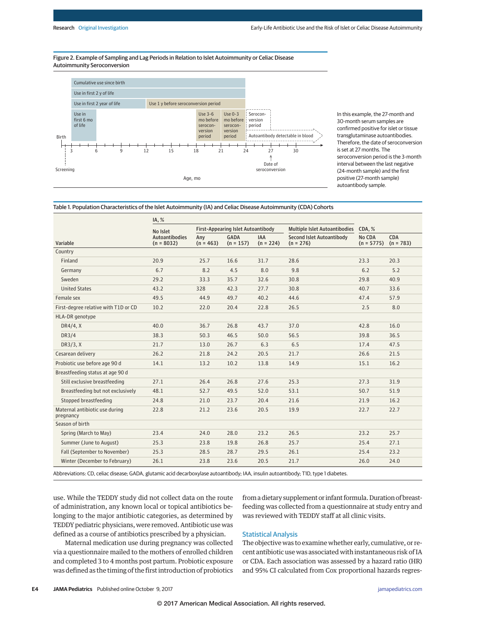Figure 2. Example of Sampling and Lag Periods in Relation to Islet Autoimmunity or Celiac Disease Autoimmunity Seroconversion



In this example, the 27-month and 30-month serum samples are confirmed positive for islet or tissue transglutaminase autoantibodies. Therefore, the date of seroconversion is set at 27 months. The seroconversion period is the 3-month interval between the last negative (24-month sample) and the first positive (27-month sample) autoantibody sample.

#### Table 1. Population Characteristics of the Islet Autoimmunity (IA) and Celiac Disease Autoimmunity (CDA) Cohorts

|                                             | IA, %                                 |                                    |                            |                           |                                          |                        |                           |
|---------------------------------------------|---------------------------------------|------------------------------------|----------------------------|---------------------------|------------------------------------------|------------------------|---------------------------|
|                                             | No Islet                              | First-Appearing Islet Autoantibody |                            |                           | <b>Multiple Islet Autoantibodies</b>     | <b>CDA, %</b>          |                           |
| Variable                                    | <b>Autoantibodies</b><br>$(n = 8032)$ | Any<br>$(n = 463)$                 | <b>GADA</b><br>$(n = 157)$ | <b>IAA</b><br>$(n = 224)$ | Second Islet Autoantibody<br>$(n = 276)$ | No CDA<br>$(n = 5775)$ | <b>CDA</b><br>$(n = 783)$ |
| Country                                     |                                       |                                    |                            |                           |                                          |                        |                           |
| Finland                                     | 20.9                                  | 25.7                               | 16.6                       | 31.7                      | 28.6                                     | 23.3                   | 20.3                      |
| Germany                                     | 6.7                                   | 8.2                                | 4.5                        | 8.0                       | 9.8                                      | 6.2                    | 5.2                       |
| Sweden                                      | 29.2                                  | 33.3                               | 35.7                       | 32.6                      | 30.8                                     | 29.8                   | 40.9                      |
| <b>United States</b>                        | 43.2                                  | 328                                | 42.3                       | 27.7                      | 30.8                                     | 40.7                   | 33.6                      |
| Female sex                                  | 49.5                                  | 44.9                               | 49.7                       | 40.2                      | 44.6                                     | 47.4                   | 57.9                      |
| First-degree relative with T1D or CD        | 10.2                                  | 22.0                               | 20.4                       | 22.8                      | 26.5                                     | 2.5                    | 8.0                       |
| HLA-DR genotype                             |                                       |                                    |                            |                           |                                          |                        |                           |
| DR4/4, X                                    | 40.0                                  | 36.7                               | 26.8                       | 43.7                      | 37.0                                     | 42.8                   | 16.0                      |
| DR3/4                                       | 38.3                                  | 50.3                               | 46.5                       | 50.0                      | 56.5                                     | 39.8                   | 36.5                      |
| DR3/3, X                                    | 21.7                                  | 13.0                               | 26.7                       | 6.3                       | 6.5                                      | 17.4                   | 47.5                      |
| Cesarean delivery                           | 26.2                                  | 21.8                               | 24.2                       | 20.5                      | 21.7                                     | 26.6                   | 21.5                      |
| Probiotic use before age 90 d               | 14.1                                  | 13.2                               | 10.2                       | 13.8                      | 14.9                                     | 15.1                   | 16.2                      |
| Breastfeeding status at age 90 d            |                                       |                                    |                            |                           |                                          |                        |                           |
| Still exclusive breastfeeding               | 27.1                                  | 26.4                               | 26.8                       | 27.6                      | 25.3                                     | 27.3                   | 31.9                      |
| Breastfeeding but not exclusively           | 48.1                                  | 52.7                               | 49.5                       | 52.0                      | 53.1                                     | 50.7                   | 51.9                      |
| Stopped breastfeeding                       | 24.8                                  | 21.0                               | 23.7                       | 20.4                      | 21.6                                     | 21.9                   | 16.2                      |
| Maternal antibiotic use during<br>pregnancy | 22.8                                  | 21.2                               | 23.6                       | 20.5                      | 19.9                                     | 22.7                   | 22.7                      |
| Season of birth                             |                                       |                                    |                            |                           |                                          |                        |                           |
| Spring (March to May)                       | 23.4                                  | 24.0                               | 28.0                       | 23.2                      | 26.5                                     | 23.2                   | 25.7                      |
| Summer (June to August)                     | 25.3                                  | 23.8                               | 19.8                       | 26.8                      | 25.7                                     | 25.4                   | 27.1                      |
| Fall (September to November)                | 25.3                                  | 28.5                               | 28.7                       | 29.5                      | 26.1                                     | 25.4                   | 23.2                      |
| Winter (December to February)               | 26.1                                  | 23.8                               | 23.6                       | 20.5                      | 21.7                                     | 26.0                   | 24.0                      |

Abbreviations: CD, celiac disease; GADA, glutamic acid decarboxylase autoantibody; IAA, insulin autoantibody; T1D, type 1 diabetes.

use. While the TEDDY study did not collect data on the route of administration, any known local or topical antibiotics belonging to the major antibiotic categories, as determined by TEDDY pediatric physicians, were removed. Antibiotic use was defined as a course of antibiotics prescribed by a physician.

Maternal medication use during pregnancy was collected via a questionnaire mailed to the mothers of enrolled children and completed 3 to 4 months post partum. Probiotic exposure was defined as the timing of the first introduction of probiotics from a dietary supplement or infant formula. Duration of breastfeeding was collected from a questionnaire at study entry and was reviewed with TEDDY staff at all clinic visits.

#### Statistical Analysis

The objective was to examine whether early, cumulative, or recent antibiotic use was associated with instantaneous risk of IA or CDA. Each association was assessed by a hazard ratio (HR) and 95% CI calculated from Cox proportional hazards regres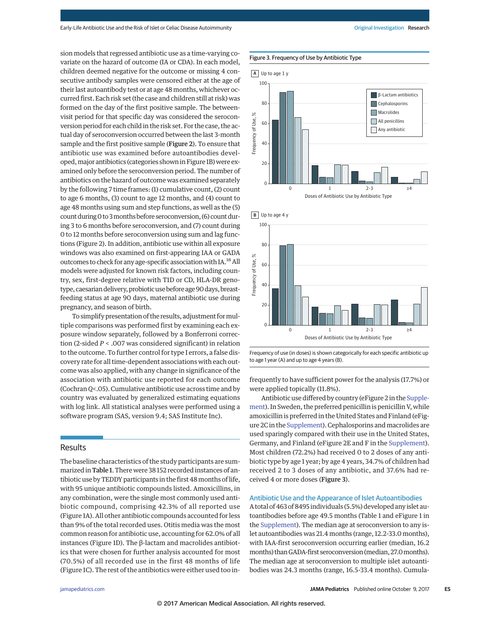sion models that regressed antibiotic use as a time-varying covariate on the hazard of outcome (IA or CDA). In each model, children deemed negative for the outcome or missing 4 consecutive antibody samples were censored either at the age of their last autoantibody test or at age 48 months, whichever occurred first. Each risk set (the case and children still at risk) was formed on the day of the first positive sample. The betweenvisit period for that specific day was considered the seroconversion period for each child in the risk set. For the case, the actual day of seroconversion occurred between the last 3-month sample and the first positive sample (Figure 2). To ensure that antibiotic use was examined before autoantibodies developed,major antibiotics (categories shown in Figure 1B) were examined only before the seroconversion period. The number of antibiotics on the hazard of outcome was examined separately by the following 7 time frames: (1) cumulative count, (2) count to age 6 months, (3) count to age 12 months, and (4) count to age 48 months using sum and step functions, as well as the (5) count during 0 to 3 months before seroconversion, (6) count during 3 to 6 months before seroconversion, and (7) count during 0 to 12 months before seroconversion using sum and lag functions (Figure 2). In addition, antibiotic use within all exposure windows was also examined on first-appearing IAA or GADA outcomes to check for any age-specific association with IA.<sup>18</sup> All models were adjusted for known risk factors, including country, sex, first-degree relative with T1D or CD, HLA-DR genotype, caesarian delivery, probiotic use before age 90 days, breastfeeding status at age 90 days, maternal antibiotic use during pregnancy, and season of birth.

To simplify presentation of the results, adjustment formultiple comparisons was performed first by examining each exposure window separately, followed by a Bonferroni correction (2-sided P < .007 was considered significant) in relation to the outcome. To further control for type I errors, a false discovery rate for all time-dependent associations with each outcome was also applied, with any change in significance of the association with antibiotic use reported for each outcome (Cochran Q<.05). Cumulative antibiotic use across time and by country was evaluated by generalized estimating equations with log link. All statistical analyses were performed using a software program (SAS, version 9.4; SAS Institute Inc).

### Results

The baseline characteristics of the study participants are summarized inTable 1. There were 38 152 recorded instances of antibiotic use by TEDDY participants in the first 48 months of life, with 95 unique antibiotic compounds listed. Amoxicillins, in any combination, were the single most commonly used antibiotic compound, comprising 42.3% of all reported use (Figure 1A). All other antibiotic compounds accounted for less than 9% of the total recorded uses. Otitis media was the most common reason for antibiotic use, accounting for 62.0% of all instances (Figure 1D). The β-lactam and macrolides antibiotics that were chosen for further analysis accounted for most (70.5%) of all recorded use in the first 48 months of life (Figure 1C). The rest of the antibiotics were either used too in-

#### Figure 3. Frequency of Use by Antibiotic Type





Frequency of use (in doses) is shown categorically for each specific antibiotic up to age 1 year (A) and up to age 4 years (B).

frequently to have sufficient power for the analysis (17.7%) or were applied topically (11.8%).

Antibiotic use differed by country (eFigure 2 in the [Supple](http://jama.jamanetwork.com/article.aspx?doi=10.1001/jamapediatrics.2017.2905&utm_campaign=articlePDF%26utm_medium=articlePDFlink%26utm_source=articlePDF%26utm_content=jamapediatrics.2017.2905)[ment\)](http://jama.jamanetwork.com/article.aspx?doi=10.1001/jamapediatrics.2017.2905&utm_campaign=articlePDF%26utm_medium=articlePDFlink%26utm_source=articlePDF%26utm_content=jamapediatrics.2017.2905). In Sweden, the preferred penicillin is penicillin V, while amoxicillin is preferred in the United States and Finland (eFigure 2C in the [Supplement\)](http://jama.jamanetwork.com/article.aspx?doi=10.1001/jamapediatrics.2017.2905&utm_campaign=articlePDF%26utm_medium=articlePDFlink%26utm_source=articlePDF%26utm_content=jamapediatrics.2017.2905). Cephalosporins andmacrolides are used sparingly compared with their use in the United States, Germany, and Finland (eFigure 2E and F in the [Supplement\)](http://jama.jamanetwork.com/article.aspx?doi=10.1001/jamapediatrics.2017.2905&utm_campaign=articlePDF%26utm_medium=articlePDFlink%26utm_source=articlePDF%26utm_content=jamapediatrics.2017.2905). Most children (72.2%) had received 0 to 2 doses of any antibiotic type by age 1 year; by age 4 years, 34.7% of children had received 2 to 3 doses of any antibiotic, and 37.6% had received 4 or more doses (Figure 3).

#### Antibiotic Use and the Appearance of Islet Autoantibodies

A total of 463 of 8495 individuals (5.5%) developed any islet autoantibodies before age 49.5 months (Table 1 and eFigure 1 in the [Supplement\)](http://jama.jamanetwork.com/article.aspx?doi=10.1001/jamapediatrics.2017.2905&utm_campaign=articlePDF%26utm_medium=articlePDFlink%26utm_source=articlePDF%26utm_content=jamapediatrics.2017.2905). The median age at seroconversion to any islet autoantibodies was 21.4 months (range, 12.2-33.0 months), with IAA-first seroconversion occurring earlier (median, 16.2 months) than GADA-first seroconversion (median, 27.0months). The median age at seroconversion to multiple islet autoantibodies was 24.3 months (range, 16.5-33.4 months). Cumula-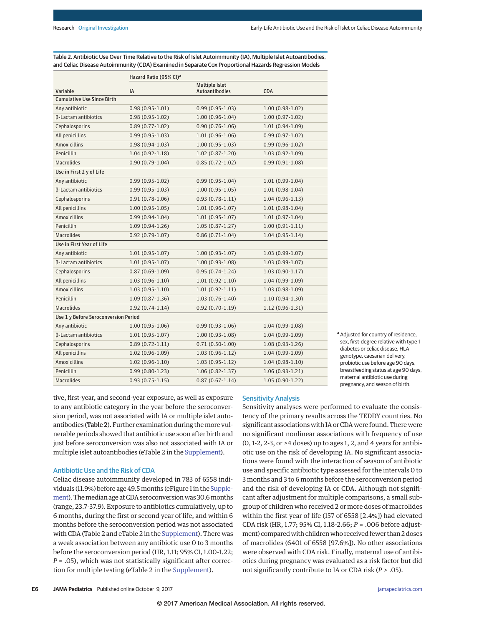|                                      | Hazard Ratio (95% CI) <sup>a</sup> |                                                |                     |  |  |
|--------------------------------------|------------------------------------|------------------------------------------------|---------------------|--|--|
| Variable                             | IA                                 | <b>Multiple Islet</b><br><b>Autoantibodies</b> | <b>CDA</b>          |  |  |
| <b>Cumulative Use Since Birth</b>    |                                    |                                                |                     |  |  |
| Any antibiotic                       | $0.98(0.95-1.01)$                  | $0.99(0.95 - 1.03)$                            | $1.00(0.98-1.02)$   |  |  |
| <b>B-Lactam antibiotics</b>          | $0.98(0.95 - 1.02)$                | $1.00(0.96 - 1.04)$                            | $1.00(0.97-1.02)$   |  |  |
| Cephalosporins                       | $0.89(0.77-1.02)$                  | $0.90(0.76 - 1.06)$                            | $1.01(0.94-1.09)$   |  |  |
| All penicillins                      | $0.99(0.95 - 1.03)$                | $1.01(0.96-1.06)$                              | $0.99(0.97 - 1.02)$ |  |  |
| <b>Amoxicillins</b>                  | $0.98(0.94-1.03)$                  | $1.00(0.95-1.03)$                              | $0.99(0.96 - 1.02)$ |  |  |
| Penicillin                           | $1.04(0.92 - 1.18)$                | $1.02(0.87-1.20)$                              | $1.03(0.92-1.09)$   |  |  |
| <b>Macrolides</b>                    | $0.90(0.79-1.04)$                  | $0.85(0.72-1.02)$                              | $0.99(0.91 - 1.08)$ |  |  |
| Use in First 2 y of Life             |                                    |                                                |                     |  |  |
| Any antibiotic                       | $0.99(0.95-1.02)$                  | $0.99(0.95 - 1.04)$                            | $1.01(0.99-1.04)$   |  |  |
| <b>ß-Lactam antibiotics</b>          | $0.99(0.95-1.03)$                  | $1.00(0.95-1.05)$                              | $1.01(0.98-1.04)$   |  |  |
| Cephalosporins                       | $0.91(0.78-1.06)$                  | $0.93(0.78-1.11)$                              | $1.04(0.96-1.13)$   |  |  |
| All penicillins                      | $1.00(0.95-1.05)$                  | $1.01(0.96-1.07)$                              | $1.01(0.98-1.04)$   |  |  |
| <b>Amoxicillins</b>                  | $0.99(0.94-1.04)$                  | $1.01(0.95 - 1.07)$                            | $1.01(0.97-1.04)$   |  |  |
| Penicillin                           | $1.09(0.94-1.26)$                  | $1.05(0.87 - 1.27)$                            | $1.00(0.91-1.11)$   |  |  |
| <b>Macrolides</b>                    | $0.92(0.79-1.07)$                  | $0.86(0.71-1.04)$                              | $1.04(0.95-1.14)$   |  |  |
| Use in First Year of Life            |                                    |                                                |                     |  |  |
| Any antibiotic                       | $1.01(0.95-1.07)$                  | $1.00(0.93-1.07)$                              | $1.03(0.99-1.07)$   |  |  |
| <b>B-Lactam antibiotics</b>          | $1.01(0.95-1.07)$                  | $1.00(0.93-1.08)$                              | $1.03(0.99-1.07)$   |  |  |
| Cephalosporins                       | $0.87(0.69-1.09)$                  | $0.95(0.74-1.24)$                              | $1.03(0.90-1.17)$   |  |  |
| All penicillins                      | $1.03(0.96-1.10)$                  | $1.01(0.92 - 1.10)$                            | $1.04(0.99-1.09)$   |  |  |
| <b>Amoxicillins</b>                  | $1.03(0.95-1.10)$                  | $1.01(0.92 - 1.11)$                            | $1.03(0.98-1.09)$   |  |  |
| Penicillin                           | $1.09(0.87-1.36)$                  | $1.03(0.76-1.40)$                              | $1.10(0.94-1.30)$   |  |  |
| <b>Macrolides</b>                    | $0.92(0.74-1.14)$                  | $0.92(0.70-1.19)$                              | $1.12(0.96-1.31)$   |  |  |
| Use 1 y Before Seroconversion Period |                                    |                                                |                     |  |  |
| Any antibiotic                       | $1.00(0.95-1.06)$                  | $0.99(0.93 - 1.06)$                            | $1.04(0.99-1.08)$   |  |  |
| <b>ß-Lactam antibiotics</b>          | $1.01(0.95-1.07)$                  | $1.00(0.93-1.08)$                              | $1.04(0.99-1.09)$   |  |  |
| Cephalosporins                       | $0.89(0.72-1.11)$                  | $0.71(0.50-1.00)$                              | $1.08(0.93-1.26)$   |  |  |
| All penicillins                      | $1.02(0.96-1.09)$                  | $1.03(0.96-1.12)$                              | $1.04(0.99-1.09)$   |  |  |
| Amoxicillins                         | $1.02(0.96-1.10)$                  | $1.03(0.95-1.12)$                              | $1.04(0.98-1.10)$   |  |  |
| Penicillin                           | $0.99(0.80-1.23)$                  | $1.06(0.82 - 1.37)$                            | $1.06(0.93-1.21)$   |  |  |
| <b>Macrolides</b>                    | $0.93(0.75-1.15)$                  | $0.87(0.67 - 1.14)$                            | $1.05(0.90-1.22)$   |  |  |

Table 2. Antibiotic Use Over Time Relative to the Risk of Islet Autoimmunity (IA), Multiple Islet Autoantibodies, and Celiac Disease Autoimmunity (CDA) Examined in Separate Cox Proportional Hazards Regression Models

tive, first-year, and second-year exposure, as well as exposure to any antibiotic category in the year before the seroconversion period, was not associated with IA or multiple islet autoantibodies (Table 2). Further examination during the more vulnerable periods showed that antibiotic use soon after birth and just before seroconversion was also not associated with IA or multiple islet autoantibodies (eTable 2 in the [Supplement\)](http://jama.jamanetwork.com/article.aspx?doi=10.1001/jamapediatrics.2017.2905&utm_campaign=articlePDF%26utm_medium=articlePDFlink%26utm_source=articlePDF%26utm_content=jamapediatrics.2017.2905).

#### Antibiotic Use and the Risk of CDA

Celiac disease autoimmunity developed in 783 of 6558 individuals (11.9%) before age 49.5months (eFigure 1 in the [Supple](http://jama.jamanetwork.com/article.aspx?doi=10.1001/jamapediatrics.2017.2905&utm_campaign=articlePDF%26utm_medium=articlePDFlink%26utm_source=articlePDF%26utm_content=jamapediatrics.2017.2905)[ment\)](http://jama.jamanetwork.com/article.aspx?doi=10.1001/jamapediatrics.2017.2905&utm_campaign=articlePDF%26utm_medium=articlePDFlink%26utm_source=articlePDF%26utm_content=jamapediatrics.2017.2905). The median age at CDA seroconversion was 30.6 months (range, 23.7-37.9). Exposure to antibiotics cumulatively, up to 6 months, during the first or second year of life, and within 6 months before the seroconversion period was not associated with CDA (Table 2 and eTable 2 in the [Supplement\)](http://jama.jamanetwork.com/article.aspx?doi=10.1001/jamapediatrics.2017.2905&utm_campaign=articlePDF%26utm_medium=articlePDFlink%26utm_source=articlePDF%26utm_content=jamapediatrics.2017.2905). There was a weak association between any antibiotic use 0 to 3 months before the seroconversion period (HR, 1.11; 95% CI, 1.00-1.22;  $P = .05$ ), which was not statistically significant after correction for multiple testing (eTable 2 in the [Supplement\)](http://jama.jamanetwork.com/article.aspx?doi=10.1001/jamapediatrics.2017.2905&utm_campaign=articlePDF%26utm_medium=articlePDFlink%26utm_source=articlePDF%26utm_content=jamapediatrics.2017.2905).

#### Sensitivity Analysis

Sensitivity analyses were performed to evaluate the consistency of the primary results across the TEDDY countries. No significant associations with IA or CDA were found. There were no significant nonlinear associations with frequency of use (0, 1-2, 2-3, or  $\geq$  4 doses) up to ages 1, 2, and 4 years for antibiotic use on the risk of developing IA. No significant associations were found with the interaction of season of antibiotic use and specific antibiotic type assessed for the intervals 0 to 3 months and 3 to 6 months before the seroconversion period and the risk of developing IA or CDA. Although not significant after adjustment for multiple comparisons, a small subgroup of children who received 2 or more doses of macrolides within the first year of life (157 of 6558 [2.4%]) had elevated CDA risk (HR, 1.77; 95% CI, 1.18-2.66; P = .006 before adjustment) compared with children who received fewer than 2 doses of macrolides (6401 of 6558 [97.6%]). No other associations were observed with CDA risk. Finally, maternal use of antibiotics during pregnancy was evaluated as a risk factor but did not significantly contribute to IA or CDA risk ( $P > .05$ ).

a Adjusted for country of residence, sex, first-degree relative with type 1 diabetes or celiac disease, HLA genotype, caesarian delivery, probiotic use before age 90 days, breastfeeding status at age 90 days, maternal antibiotic use during pregnancy, and season of birth.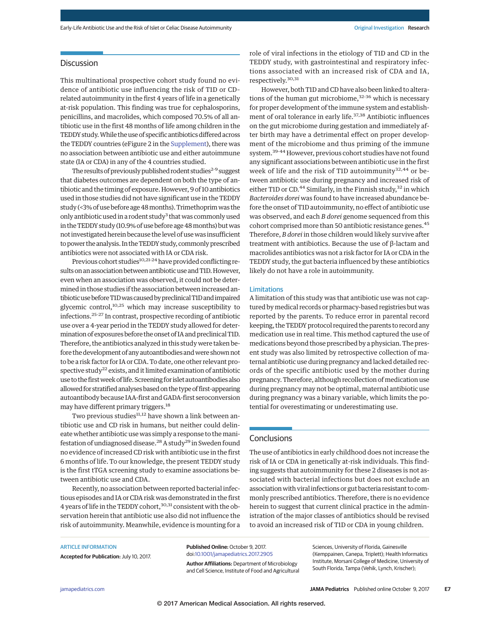## Discussion

This multinational prospective cohort study found no evidence of antibiotic use influencing the risk of T1D or CD– related autoimmunity in the first 4 years of life in a genetically at-risk population. This finding was true for cephalosporins, penicillins, and macrolides, which composed 70.5% of all antibiotic use in the first 48 months of life among children in the TEDDY study. While the use of specific antibiotics differed across the TEDDY countries (eFigure 2 in the [Supplement\)](http://jama.jamanetwork.com/article.aspx?doi=10.1001/jamapediatrics.2017.2905&utm_campaign=articlePDF%26utm_medium=articlePDFlink%26utm_source=articlePDF%26utm_content=jamapediatrics.2017.2905), there was no association between antibiotic use and either autoimmune state (IA or CDA) in any of the 4 countries studied.

The results of previously published rodent studies<sup>2-9</sup> suggest that diabetes outcomes are dependent on both the type of antibiotic and the timing of exposure.However, 9 of 10 antibiotics used in those studies did not have significant use in the TEDDY study (<3% of use before age 48months). Trimethoprimwas the only antibiotic used in a rodent study<sup>3</sup> that was commonly used in the TEDDY study (10.9% of use before age 48 months) but was not investigated herein because the level of use was insufficient to power the analysis. In the TEDDY study, commonly prescribed antibiotics were not associated with IA or CDA risk.

Previous cohort studies<sup>10,21-24</sup> have provided conflicting results on an association between antibiotic use and T1D. However, even when an association was observed, it could not be determined in those studies if the association between increased antibioticuse before T1D was caused by preclinical T1D and impaired glycemic control,<sup>10,25</sup> which may increase susceptibility to infections.25-27 In contrast, prospective recording of antibiotic use over a 4-year period in the TEDDY study allowed for determination of exposures before the onset of IA and preclinical T1D. Therefore, the antibiotics analyzed in this study were taken before the development of any autoantibodies and were shown not to be a risk factor for IA or CDA. To date, one other relevant prospective study<sup>22</sup> exists, and it limited examination of antibiotic use to the firstweek of life. Screening for islet autoantibodies also allowed for stratified analyses based on the type of first-appearing autoantibody because IAA-first and GADA-first seroconversion may have different primary triggers.<sup>18</sup>

Two previous studies<sup>11,12</sup> have shown a link between antibiotic use and CD risk in humans, but neither could delineate whether antibiotic use was simply a response to themanifestation of undiagnosed disease.28A study<sup>29</sup> in Sweden found no evidence of increased CD risk with antibiotic use in the first 6 months of life. To our knowledge, the present TEDDY study is the first tTGA screening study to examine associations between antibiotic use and CDA.

Recently, no association between reported bacterial infectious episodes and IA or CDA risk was demonstrated in the first 4 years of life in the TEDDY cohort,<sup>30,31</sup> consistent with the observation herein that antibiotic use also did not influence the risk of autoimmunity. Meanwhile, evidence is mounting for a

role of viral infections in the etiology of T1D and CD in the TEDDY study, with gastrointestinal and respiratory infections associated with an increased risk of CDA and IA, respectively.30,31

However, both T1D and CD have also been linked to alterations of the human gut microbiome,<sup>32-36</sup> which is necessary for proper development of the immune system and establishment of oral tolerance in early life.<sup>37,38</sup> Antibiotic influences on the gut microbiome during gestation and immediately after birth may have a detrimental effect on proper development of the microbiome and thus priming of the immune system.<sup>39-44</sup> However, previous cohort studies have not found any significant associations between antibiotic use in the first week of life and the risk of T1D autoimmunity $32,44$  or between antibiotic use during pregnancy and increased risk of either T1D or CD.<sup>44</sup> Similarly, in the Finnish study,<sup>32</sup> in which Bacteroides dorei was found to have increased abundance before the onset of T1D autoimmunity, no effect of antibiotic use was observed, and each B dorei genome sequenced from this cohort comprised more than 50 antibiotic resistance genes.<sup>45</sup> Therefore, B dorei in those children would likely survive after treatment with antibiotics. Because the use of β-lactam and macrolides antibiotics was not a risk factor for IA or CDA in the TEDDY study, the gut bacteria influenced by these antibiotics likely do not have a role in autoimmunity.

#### Limitations

A limitation of this study was that antibiotic use was not captured bymedical records or pharmacy-based registries but was reported by the parents. To reduce error in parental record keeping, the TEDDY protocol required the parents to record any medication use in real time. This method captured the use of medications beyond those prescribed by a physician. The present study was also limited by retrospective collection of maternal antibiotic use during pregnancy and lacked detailed records of the specific antibiotic used by the mother during pregnancy. Therefore, although recollection of medication use during pregnancy may not be optimal, maternal antibiotic use during pregnancy was a binary variable, which limits the potential for overestimating or underestimating use.

## **Conclusions**

The use of antibiotics in early childhood does not increase the risk of IA or CDA in genetically at-risk individuals. This finding suggests that autoimmunity for these 2 diseases is not associated with bacterial infections but does not exclude an association with viral infections or gut bacteria resistant to commonly prescribed antibiotics. Therefore, there is no evidence herein to suggest that current clinical practice in the administration of the major classes of antibiotics should be revised to avoid an increased risk of T1D or CDA in young children.

ARTICLE INFORMATION

**Accepted for Publication:** July 10, 2017.

**Published Online:** October 9, 2017. doi[:10.1001/jamapediatrics.2017.2905](http://jama.jamanetwork.com/article.aspx?doi=10.1001/jamapediatrics.2017.2905&utm_campaign=articlePDF%26utm_medium=articlePDFlink%26utm_source=articlePDF%26utm_content=jamapediatrics.2017.2905) **Author Affiliations:** Department of Microbiology and Cell Science, Institute of Food and Agricultural Sciences, University of Florida, Gainesville (Kemppainen, Canepa, Triplett); Health Informatics Institute, Morsani College of Medicine, University of South Florida, Tampa (Vehik, Lynch, Krischer);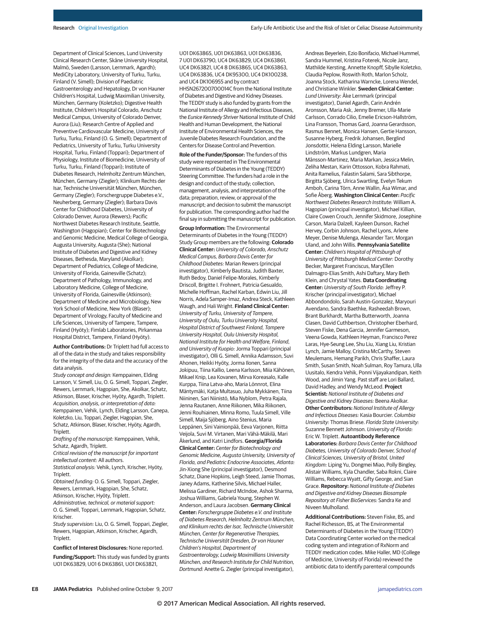Department of Clinical Sciences, Lund University Clinical Research Center, Skåne University Hospital, Malmö, Sweden (Larsson, Lernmark, Agardh); MediCity Laboratory, University of Turku, Turku, Finland (V. Simell); Division of Paediatric Gastroenterology and Hepatology, Dr von Hauner Children's Hospital, Ludwig Maximilian University, München, Germany (Koletzko); Digestive Health Institute, Children's Hospital Colorado, Anschutz Medical Campus, University of Colorado Denver, Aurora (Liu); Research Centre of Applied and Preventive Cardiovascular Medicine, University of Turku, Turku, Finland (O. G. Simell); Department of Pediatrics, University of Turku, Turku University Hospital, Turku, Finland (Toppari); Department of Physiology, Institute of Biomedicine, University of Turku, Turku, Finland (Toppari); Institute of Diabetes Research, Helmholtz Zentrum München, München, Germany (Ziegler); Klinikum Rechts der Isar, Technische Universität München, München, Germany (Ziegler); Forschergruppe Diabetes e.V., Neuherberg, Germany (Ziegler); Barbara Davis Center for Childhood Diabetes, University of Colorado Denver, Aurora (Rewers); Pacific Northwest Diabetes Research Institute, Seattle, Washington (Hagopian); Center for Biotechnology and Genomic Medicine, Medical College of Georgia, Augusta University, Augusta (She); National Institute of Diabetes and Digestive and Kidney Diseases, Bethesda, Maryland (Akolkar); Department of Pediatrics, College of Medicine, University of Florida, Gainesville (Schatz); Department of Pathology, Immunology, and Laboratory Medicine, College of Medicine, University of Florida, Gainesville (Atkinson); Department of Medicine and Microbiology, New York School of Medicine, New York (Blaser); Department of Virology, Faculty of Medicine and Life Sciences, University of Tampere, Tampere, Finland (Hyöty); Fimlab Laboratories, Pirkanmaa Hospital District, Tampere, Finland (Hyöty).

**Author Contributions:** Dr Triplett had full access to all of the data in the study and takes responsibility for the integrity of the data and the accuracy of the data analysis.

Study concept and design: Kemppainen, Elding Larsson, V. Simell, Liu, O. G. Simell, Toppari, Ziegler, Rewers, Lernmark, Hagopian, She, Akolkar, Schatz, Atkinson, Blaser, Krischer, Hyöty, Agardh, Triplett. Acquisition, analysis, or interpretation of data: Kemppainen, Vehik, Lynch, Elding Larsson, Canepa, Koletzko, Liu, Toppari, Ziegler, Hagopian, She, Schatz, Atkinson, Blaser, Krischer, Hyöty, Agardh, Triplett.

Drafting of the manuscript: Kemppainen, Vehik, Schatz, Agardh, Triplett.

Critical revision of the manuscript for important intellectual content: All authors.

Statistical analysis: Vehik, Lynch, Krischer, Hyöty, Triplett.

Obtained funding: O. G. Simell, Toppari, Ziegler, Rewers, Lernmark, Hagopian, She, Schatz, Atkinson, Krischer, Hyöty, Triplett.

Administrative, technical, or material support:

O. G. Simell, Toppari, Lernmark, Hagopian, Schatz, Krischer.

Study supervision: Liu, O. G. Simell, Toppari, Ziegler, Rewers, Hagopian, Atkinson, Krischer, Agardh, Triplett.

**Conflict of Interest Disclosures:** None reported.

**Funding/Support:** This study was funded by grants U01 DK63829, U01 6 DK63861, U01 DK63821,

U01 DK63865, U01 DK63863, U01 DK63836, 7 U01 DK63790, UC4 DK63829, UC4 DK63861, UC4 DK63821, UC4 8 DK63865, UC4 DK63863, UC4 DK63836, UC4 DK95300, UC4 DK100238, and UC4 DK106955 and by contract HHSN267200700014C from the National Institute of Diabetes and Digestive and Kidney Diseases. The TEDDY study is also funded by grants from the National Institute of Allergy and Infectious Diseases, the Eunice Kennedy Shriver National Institute of Child Health and Human Development, the National Institute of Environmental Health Sciences, the Juvenile Diabetes Research Foundation, and the Centers for Disease Control and Prevention.

**Role of the Funder/Sponsor:** The funders of this study were represented in The Environmental Determinants of Diabetes in the Young (TEDDY) Steering Committee. The funders had a role in the design and conduct of the study; collection, management, analysis, and interpretation of the data; preparation, review, or approval of the manuscript; and decision to submit the manuscript for publication. The corresponding author had the final say in submitting the manuscript for publication.

**Group Information:** The Environmental Determinants of Diabetes in the Young (TEDDY) Study Group members are the following: **Colorado Clinical Center:** University of Colorado, Anschutz Medical Campus, Barbara Davis Center for Childhood Diabetes: Marian Rewers (principal investigator), Kimberly Bautista, Judith Baxter, Ruth Bedoy, Daniel Felipe-Morales, Kimberly Driscoll, Brigitte I. Frohnert, Patricia Gesualdo, Michelle Hoffman, Rachel Karban, Edwin Liu, Jill Norris, Adela Samper-Imaz, Andrea Steck, Kathleen Waugh, and Hali Wright. **Finland Clinical Center:** University of Turku, University of Tampere, University of Oulu, Turku University Hospital, Hospital District of Southwest Finland, Tampere University Hospital, Oulu University Hospital, National Institute for Health and Welfare, Finland, and University of Kuopio: Jorma Toppari (principal investigator), Olli G. Simell, Annika Adamsson, Suvi Ahonen, Heikki Hyöty, Jorma Ilonen, Sanna Jokipuu, Tiina Kallio, Leena Karlsson, Miia Kähönen, Mikael Knip, Lea Kovanen, Mirva Koreasalo, Kalle Kurppa, Tiina Latva-aho, Maria Lönnrot, Elina Mäntymäki, Katja Multasuo, Juha Mykkänen, Tiina Niininen, Sari Niinistö, Mia Nyblom, Petra Rajala, Jenna Rautanen, Anne Riikonen, Mika Riikonen, Jenni Rouhiainen, Minna Romo, Tuula Simell, Ville Simell, Maija Sjöberg, Aino Stenius, Maria Leppänen, Sini Vainionpää, Eeva Varjonen, Riitta Veijola, Suvi M. Virtanen, Mari Vähä-Mäkilä, Mari Åkerlund, and Katri Lindfors. **Georgia/Florida Clinical Center:** Center for Biotechnology and Genomic Medicine, Augusta University, University of Florida, and Pediatric Endocrine Associates, Atlanta: Jin-Xiong She (principal investigator), Desmond Schatz, Diane Hopkins, Leigh Steed, Jamie Thomas, Janey Adams, Katherine Silvis, Michael Haller, Melissa Gardiner, Richard McIndoe, Ashok Sharma, Joshua Williams, Gabriela Young, Stephen W. Anderson, and Laura Jacobsen. **Germany Clinical Center:** Forschergruppe Diabetes e.V. and Institute of Diabetes Research, Helmholtz Zentrum München, and Klinikum rechts der Isar, Technische Universität München, Center for Regenerative Therapies, Technische Universität Dresden, Dr von Hauner Children's Hospital, Department of Gastroenterology, Ludwig Maximillians University München, and Research Institute for Child Nutrition, Dortmund: Anette G. Ziegler (principal investigator),

Andreas Beyerlein, Ezio Bonifacio, Michael Hummel, Sandra Hummel, Kristina Foterek, Nicole Janz, Mathilde Kersting, Annette Knopff, Sibylle Koletzko, Claudia Peplow, Roswith Roth, Marlon Scholz, Joanna Stock, Katharina Warncke, Lorena Wendel, and Christiane Winkler. **Sweden Clinical Center:** Lund University: Åke Lernmark (principal investigator), Daniel Agardh, Carin Andrén Aronsson, Maria Ask, Jenny Bremer, Ulla-Marie Carlsson, Corrado Cilio, Emelie Ericson-Hallström, Lina Fransson, Thomas Gard, Joanna Gerardsson, Rasmus Bennet, Monica Hansen, Gertie Hansson, Susanne Hyberg, Fredrik Johansen, Berglind Jonsdottir, Helena Elding Larsson, Marielle Lindström, Markus Lundgren, Maria Månsson-Martinez, Maria Markan, Jessica Melin, Zeliha Mestan, Karin Ottosson, Kobra Rahmati, Anita Ramelius, Falastin Salami, Sara Sibthorpe, Birgitta Sjöberg, Ulrica Swartling, Evelyn Tekum Amboh, Carina Törn, Anne Wallin, Åsa Wimar, and Sofie Åberg. **Washington Clinical Center:** Pacific Northwest Diabetes Research Institute: William A. Hagopian (principal investigator), Michael Killian, Claire Cowen Crouch, Jennifer Skidmore, Josephine Carson, Maria Dalzell, Kayleen Dunson, Rachel Hervey, Corbin Johnson, Rachel Lyons, Arlene Meyer, Denise Mulenga, Alexander Tarr, Morgan Uland, and John Willis. **Pennsylvania Satellite Center:** Children's Hospital of Pittsburgh of University of Pittsburgh Medical Center: Dorothy Becker, Margaret Franciscus, MaryEllen Dalmagro-Elias Smith, Ashi Daftary, Mary Beth Klein, and Chrystal Yates. **Data Coordinating Center:** University of South Florida: Jeffrey P. Krischer (principal investigator), Michael Abbondondolo, Sarah Austin-Gonzalez, Maryouri Avendano, Sandra Baethke, Rasheedah Brown, Brant Burkhardt, Martha Butterworth, Joanna Clasen, David Cuthbertson, Christopher Eberhard, Steven Fiske, Dena Garcia, Jennifer Garmeson, Veena Gowda, Kathleen Heyman, Francisco Perez Laras, Hye-Seung Lee, Shu Liu, Xiang Liu, Kristian Lynch, Jamie Malloy, Cristina McCarthy, Steven Meulemans, Hemang Parikh, Chris Shaffer, Laura Smith, Susan Smith, Noah Sulman, Roy Tamura, Ulla Uusitalo, Kendra Vehik, Ponni Vijayakandipan, Keith Wood, and Jimin Yang. Past staff are Lori Ballard, David Hadley, and Wendy McLeod. **Project Scientist:** National Institute of Diabetes and Digestive and Kidney Diseases: Beena Akolkar. **Other Contributors:** National Institute of Allergy and Infectious Diseases: Kasia Bourcier. Columbia University: Thomas Briese. Florida State University: Suzanne Bennett Johnson. University of Florida: Eric W. Triplett. **Autoantibody Reference Laboratories:** Barbara Davis Center for Childhood Diabetes, University of Colorado Denver, School of Clinical Sciences, University of Bristol, United Kingdom: Liping Yu, Dongmei Miao, Polly Bingley, Alistair Williams, Kyla Chandler, Saba Rokni, Claire Williams, Rebecca Wyatt, Gifty George, and Sian Grace. **Repository:** National Institute of Diabetes and Digestive and Kidney Diseases Biosample Repository at Fisher BioServices: Sandra Ke and Niveen Mulholland.

**Additional Contributions:** Steven Fiske, BS, and Rachel Richesson, BS, at The Environmental Determinants of Diabetes in the Young (TEDDY) Data Coordinating Center worked on the medical coding system and integration of RxNorm and TEDDY medication codes. Mike Haller, MD (College of Medicine, University of Florida) reviewed the antibiotic data to identify parenteral compounds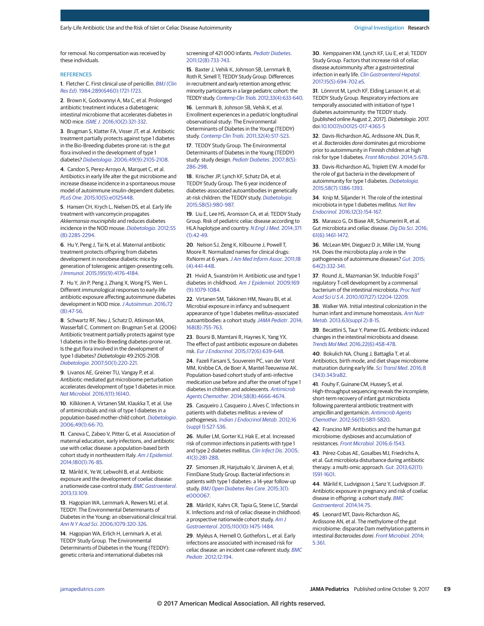for removal. No compensation was received by these individuals.

#### **REFERENCES**

**1**. Fletcher C. First clinical use of penicillin. [BMJ \(Clin](https://www.ncbi.nlm.nih.gov/pubmed/6440620) Res Ed)[. 1984;289\(6460\):1721-1723.](https://www.ncbi.nlm.nih.gov/pubmed/6440620)

**2**. Brown K, Godovannyi A, Ma C, et al. Prolonged antibiotic treatment induces a diabetogenic intestinal microbiome that accelerates diabetes in NOD mice. ISME J[. 2016;10\(2\):321-332.](https://www.ncbi.nlm.nih.gov/pubmed/26274050)

**3**. Brugman S, Klatter FA, Visser JT, et al. Antibiotic treatment partially protects against type 1 diabetes in the Bio-Breeding diabetes-prone rat: is the gut flora involved in the development of type 1 diabetes? Diabetologia[. 2006;49\(9\):2105-2108.](https://www.ncbi.nlm.nih.gov/pubmed/16816951)

**4**. Candon S, Perez-Arroyo A, Marquet C, et al. Antibiotics in early life alter the gut microbiome and increase disease incidence in a spontaneous mouse model of autoimmune insulin-dependent diabetes. PLoS One[. 2015;10\(5\):e0125448.](https://www.ncbi.nlm.nih.gov/pubmed/25970503)

**5**. Hansen CH, Krych L, Nielsen DS, et al. Early life treatment with vancomycin propagates Akkermansia muciniphila and reduces diabetes incidence in the NOD mouse. [Diabetologia](https://www.ncbi.nlm.nih.gov/pubmed/22572803). 2012;55 [\(8\):2285-2294.](https://www.ncbi.nlm.nih.gov/pubmed/22572803)

**6**. Hu Y, Peng J, Tai N, et al. Maternal antibiotic treatment protects offspring from diabetes development in nonobese diabetic mice by generation of tolerogenic antigen-presenting cells. J Immunol[. 2015;195\(9\):4176-4184.](https://www.ncbi.nlm.nih.gov/pubmed/26401004)

**7**. Hu Y, Jin P, Peng J, Zhang X, Wong FS, Wen L. Different immunological responses to early-life antibiotic exposure affecting autoimmune diabetes development in NOD mice.[J Autoimmun](https://www.ncbi.nlm.nih.gov/pubmed/27178773). 2016;72 [\(8\):47-56.](https://www.ncbi.nlm.nih.gov/pubmed/27178773)

**8**. Schwartz RF, Neu J, Schatz D, Atkinson MA, Wasserfall C. Comment on: Brugman S et al. (2006) Antibiotic treatment partially protects against type 1 diabetes in the Bio-Breeding diabetes-prone rat. Is the gut flora involved in the development of type 1 diabetes? Diabetologia 49:2105-2108. Diabetologia[. 2007;50\(1\):220-221.](https://www.ncbi.nlm.nih.gov/pubmed/17119915)

**9**. Livanos AE, Greiner TU, Vangay P, et al. Antibiotic-mediated gut microbiome perturbation accelerates development of type 1 diabetes in mice. Nat Microbiol[. 2016;1\(11\):16140.](https://www.ncbi.nlm.nih.gov/pubmed/27782139)

**10**. Kilkkinen A, Virtanen SM, Klaukka T, et al. Use of antimicrobials and risk of type 1 diabetes in a population-based mother-child cohort. [Diabetologia](https://www.ncbi.nlm.nih.gov/pubmed/16344923). [2006;49\(1\):66-70.](https://www.ncbi.nlm.nih.gov/pubmed/16344923)

**11**. Canova C, Zabeo V, Pitter G, et al. Association of maternal education, early infections, and antibiotic use with celiac disease: a population-based birth cohort study in northeastern Italy. [Am J Epidemiol](https://www.ncbi.nlm.nih.gov/pubmed/24853109). [2014;180\(1\):76-85.](https://www.ncbi.nlm.nih.gov/pubmed/24853109)

**12**. Mårild K, Ye W, Lebwohl B, et al. Antibiotic exposure and the development of coeliac disease: a nationwide case-control study. [BMC Gastroenterol](https://www.ncbi.nlm.nih.gov/pubmed/23834758). [2013;13:109.](https://www.ncbi.nlm.nih.gov/pubmed/23834758)

**13**. Hagopian WA, Lernmark A, Rewers MJ, et al. TEDDY: The Environmental Determinants of Diabetes in the Young: an observational clinical trial. Ann N Y Acad Sci[. 2006;1079:320-326.](https://www.ncbi.nlm.nih.gov/pubmed/17130573)

**14**. Hagopian WA, Erlich H, Lernmark A, et al; TEDDY Study Group. The Environmental Determinants of Diabetes in the Young (TEDDY): genetic criteria and international diabetes risk

screening of 421 000 infants. [Pediatr Diabetes](https://www.ncbi.nlm.nih.gov/pubmed/21564455). [2011;12\(8\):733-743.](https://www.ncbi.nlm.nih.gov/pubmed/21564455)

**15**. Baxter J, Vehik K, Johnson SB, Lernmark B, Roth R, Simell T; TEDDY Study Group. Differences in recruitment and early retention among ethnic minority participants in a large pediatric cohort: the TEDDY study.Contemp Clin Trials[. 2012;33\(4\):633-640.](https://www.ncbi.nlm.nih.gov/pubmed/22484339)

**16**. Lernmark B, Johnson SB, Vehik K, et al. Enrollment experiences in a pediatric longitudinal observational study: The Environmental Determinants of Diabetes in the Young (TEDDY) study. Contemp Clin Trials[. 2011;32\(4\):517-523.](https://www.ncbi.nlm.nih.gov/pubmed/21419878)

**17**. TEDDY Study Group. The Environmental Determinants of Diabetes in the Young (TEDDY) study: study design. [Pediatr Diabetes](https://www.ncbi.nlm.nih.gov/pubmed/17850472). 2007;8(5): [286-298.](https://www.ncbi.nlm.nih.gov/pubmed/17850472)

**18**. Krischer JP, Lynch KF, Schatz DA, et al; TEDDY Study Group. The 6 year incidence of diabetes-associated autoantibodies in genetically at-risk children: the TEDDY study. [Diabetologia](https://www.ncbi.nlm.nih.gov/pubmed/25660258). [2015;58\(5\):980-987.](https://www.ncbi.nlm.nih.gov/pubmed/25660258)

**19**. Liu E, Lee HS, Aronsson CA, et al; TEDDY Study Group. Risk of pediatric celiac disease according to HLA haplotype and country. [N Engl J Med](https://www.ncbi.nlm.nih.gov/pubmed/24988556). 2014;371 [\(1\):42-49.](https://www.ncbi.nlm.nih.gov/pubmed/24988556)

**20**. Nelson SJ, Zeng K, Kilbourne J, Powell T, Moore R. Normalized names for clinical drugs: RxNorm at 6 years. [J Am Med Inform Assoc](https://www.ncbi.nlm.nih.gov/pubmed/21515544). 2011;18 [\(4\):441-448.](https://www.ncbi.nlm.nih.gov/pubmed/21515544)

**21**. Hviid A, Svanström H. Antibiotic use and type 1 diabetes in childhood. [Am J Epidemiol](https://www.ncbi.nlm.nih.gov/pubmed/19318617). 2009;169 [\(9\):1079-1084.](https://www.ncbi.nlm.nih.gov/pubmed/19318617)

**22**. Virtanen SM, Takkinen HM, Nwaru BI, et al. Microbial exposure in infancy and subsequent appearance of type 1 diabetes mellitus–associated autoantibodies: a cohort study. [JAMA Pediatr](https://www.ncbi.nlm.nih.gov/pubmed/24957949). 2014; [168\(8\):755-763.](https://www.ncbi.nlm.nih.gov/pubmed/24957949)

**23**. Boursi B, Mamtani R, Haynes K, Yang YX. The effect of past antibiotic exposure on diabetes risk. Eur J Endocrinol[. 2015;172\(6\):639-648.](https://www.ncbi.nlm.nih.gov/pubmed/25805893)

**24**. Fazeli Farsani S, Souverein PC, van der Vorst MM, Knibbe CA, de Boer A, Mantel-Teeuwisse AK. Population-based cohort study of anti-infective medication use before and after the onset of type 1 diabetes in children and adolescents. [Antimicrob](https://www.ncbi.nlm.nih.gov/pubmed/24890584) Agents Chemother[. 2014;58\(8\):4666-4674.](https://www.ncbi.nlm.nih.gov/pubmed/24890584)

**25**. Casqueiro J, Casqueiro J, Alves C. Infections in patients with diabetes mellitus: a review of pathogenesis. [Indian J Endocrinol Metab](https://www.ncbi.nlm.nih.gov/pubmed/22701840). 2012;16 [\(suppl 1\):S27-S36.](https://www.ncbi.nlm.nih.gov/pubmed/22701840)

**26**. Muller LM, Gorter KJ, Hak E, et al. Increased risk of common infections in patients with type 1 and type 2 diabetes mellitus. [Clin Infect Dis](https://www.ncbi.nlm.nih.gov/pubmed/16007521). 2005; [41\(3\):281-288.](https://www.ncbi.nlm.nih.gov/pubmed/16007521)

**27**. Simonsen JR, Harjutsalo V, Järvinen A, et al; FinnDiane Study Group. Bacterial infections in patients with type 1 diabetes: a 14-year follow-up study. [BMJ Open Diabetes Res Care](https://www.ncbi.nlm.nih.gov/pubmed/25767718). 2015;3(1): [e000067.](https://www.ncbi.nlm.nih.gov/pubmed/25767718)

**28**. Mårild K, Kahrs CR, Tapia G, Stene LC, Størdal K. Infections and risk of celiac disease in childhood: a prospective nationwide cohort study. [Am J](https://www.ncbi.nlm.nih.gov/pubmed/26346866) Gastroenterol[. 2015;110\(10\):1475-1484.](https://www.ncbi.nlm.nih.gov/pubmed/26346866)

**29**. Myléus A, Hernell O, Gothefors L, et al. Early infections are associated with increased risk for celiac disease: an incident case-referent study. [BMC](https://www.ncbi.nlm.nih.gov/pubmed/23249321) Pediatr[. 2012;12:194.](https://www.ncbi.nlm.nih.gov/pubmed/23249321)

**30**. Kemppainen KM, Lynch KF, Liu E, et al; TEDDY Study Group. Factors that increase risk of celiac disease autoimmunity after a gastrointestinal infection in early life. [Clin Gastroenterol Hepatol](https://www.ncbi.nlm.nih.gov/pubmed/27840181). [2017;15\(5\):694-702.e5.](https://www.ncbi.nlm.nih.gov/pubmed/27840181)

**31**. Lönnrot M, Lynch KF, Elding Larsson H, et al; TEDDY Study Group. Respiratory infections are temporally associated with initiation of type 1 diabetes autoimmunity: the TEDDY study. [published online August 2, 2017]. Diabetologia. 2017. doi[:10.1007/s00125-017-4365-5](http://dx.doi.org/10.1007/s00125-017-4365-5)

**32**. Davis-Richardson AG, Ardissone AN, Dias R, et al. Bacteroides dorei dominates gut microbiome prior to autoimmunity in Finnish children at high risk for type 1 diabetes. [Front Microbiol](https://www.ncbi.nlm.nih.gov/pubmed/25540641). 2014;5:678.

**33**. Davis-Richardson AG, Triplett EW. A model for the role of gut bacteria in the development of autoimmunity for type 1 diabetes. [Diabetologia](https://www.ncbi.nlm.nih.gov/pubmed/25957231). [2015;58\(7\):1386-1393.](https://www.ncbi.nlm.nih.gov/pubmed/25957231)

**34**. Knip M, Siljander H. The role of the intestinal microbiota in type 1 diabetes mellitus. [Nat Rev](https://www.ncbi.nlm.nih.gov/pubmed/26729037) Endocrinol[. 2016;12\(3\):154-167.](https://www.ncbi.nlm.nih.gov/pubmed/26729037)

**35**. Marasco G, Di Biase AR, Schiumerini R, et al. Gut microbiota and celiac disease. [Dig Dis Sci](https://www.ncbi.nlm.nih.gov/pubmed/26725064). 2016; [61\(6\):1461-1472.](https://www.ncbi.nlm.nih.gov/pubmed/26725064)

**36**. McLean MH, Dieguez D Jr, Miller LM, Young HA. Does the microbiota play a role in the pathogenesis of autoimmune diseases? Gut[. 2015;](https://www.ncbi.nlm.nih.gov/pubmed/25416067) [64\(2\):332-341.](https://www.ncbi.nlm.nih.gov/pubmed/25416067)

**37**. Round JL, Mazmanian SK. Inducible Foxp3<sup>+</sup> regulatory T-cell development by a commensal bacterium of the intestinal microbiota. [Proc Natl](https://www.ncbi.nlm.nih.gov/pubmed/20566854) Acad SciUSA[. 2010;107\(27\):12204-12209.](https://www.ncbi.nlm.nih.gov/pubmed/20566854)

**38**. Walker WA. Initial intestinal colonization in the human infant and immune homeostasis. [Ann Nutr](https://www.ncbi.nlm.nih.gov/pubmed/24217032) Metab[. 2013;63\(suppl 2\):8-15.](https://www.ncbi.nlm.nih.gov/pubmed/24217032)

**39**. Becattini S, Taur Y, Pamer EG. Antibiotic-induced changes in the intestinal microbiota and disease. Trends Mol Med[. 2016;22\(6\):458-478.](https://www.ncbi.nlm.nih.gov/pubmed/27178527)

**40**. Bokulich NA, Chung J, Battaglia T, et al. Antibiotics, birth mode, and diet shape microbiome maturation during early life. [Sci Transl Med](https://www.ncbi.nlm.nih.gov/pubmed/27306664). 2016;8 [\(343\):343ra82.](https://www.ncbi.nlm.nih.gov/pubmed/27306664)

**41**. Fouhy F, Guinane CM, Hussey S, et al. High-throughput sequencing reveals the incomplete, short-term recovery of infant gut microbiota following parenteral antibiotic treatment with ampicillin and gentamicin. [Antimicrob Agents](https://www.ncbi.nlm.nih.gov/pubmed/22948872) Chemother[. 2012;56\(11\):5811-5820.](https://www.ncbi.nlm.nih.gov/pubmed/22948872)

**42**. Francino MP. Antibiotics and the human gut microbiome: dysbioses and accumulation of resistances. [Front Microbiol](https://www.ncbi.nlm.nih.gov/pubmed/26793178). 2016;6:1543.

**43**. Pérez-Cobas AE, Gosalbes MJ, Friedrichs A, et al. Gut microbiota disturbance during antibiotic therapy: a multi-omic approach. Gut[. 2013;62\(11\):](https://www.ncbi.nlm.nih.gov/pubmed/23236009) [1591-1601.](https://www.ncbi.nlm.nih.gov/pubmed/23236009)

**44**. Mårild K, Ludvigsson J, Sanz Y, Ludvigsson JF. Antibiotic exposure in pregnancy and risk of coeliac disease in offspring: a cohort study. [BMC](https://www.ncbi.nlm.nih.gov/pubmed/24731164) [Gastroenterol](https://www.ncbi.nlm.nih.gov/pubmed/24731164). 2014;14:75.

**45**. Leonard MT, Davis-Richardson AG, Ardissone AN, et al. The methylome of the gut microbiome: disparate Dam methylation patterns in intestinal Bacteroides dorei. [Front Microbiol](https://www.ncbi.nlm.nih.gov/pubmed/25101067). 2014; [5:361.](https://www.ncbi.nlm.nih.gov/pubmed/25101067)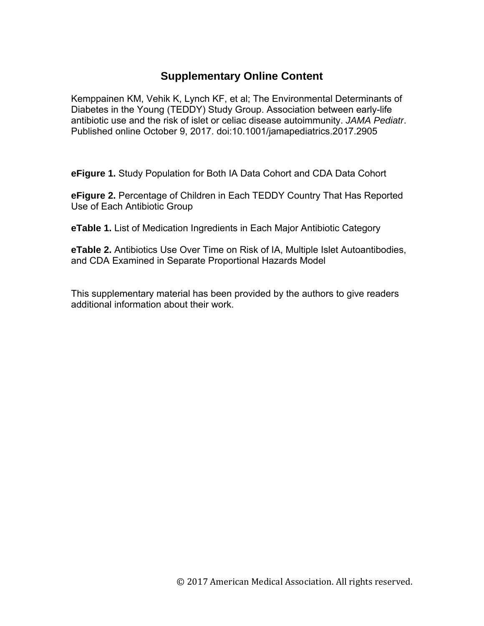## **Supplementary Online Content**

Kemppainen KM, Vehik K, Lynch KF, et al; The Environmental Determinants of Diabetes in the Young (TEDDY) Study Group. Association between early-life antibiotic use and the risk of islet or celiac disease autoimmunity. JAMA Pediatr. Published online October 9, 2017. doi:10.1001/jamapediatrics.2017.2905

**eFigure 1.** Study Population for Both IA Data Cohort and CDA Data Cohort

**eFigure 2.** Percentage of Children in Each TEDDY Country That Has Reported Use of Each Antibiotic Group

**eTable 1.** List of Medication Ingredients in Each Major Antibiotic Category

**eTable 2.** Antibiotics Use Over Time on Risk of IA, Multiple Islet Autoantibodies, and CDA Examined in Separate Proportional Hazards Model

This supplementary material has been provided by the authors to give readers additional information about their work.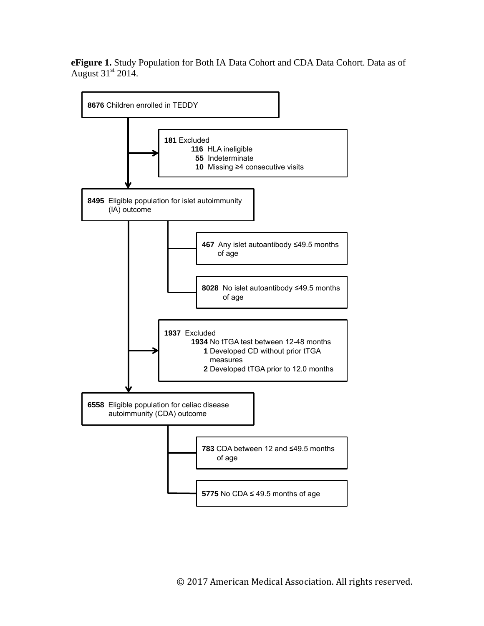**eFigure 1.** Study Population for Both IA Data Cohort and CDA Data Cohort. Data as of August  $31<sup>st</sup> 2014$ .

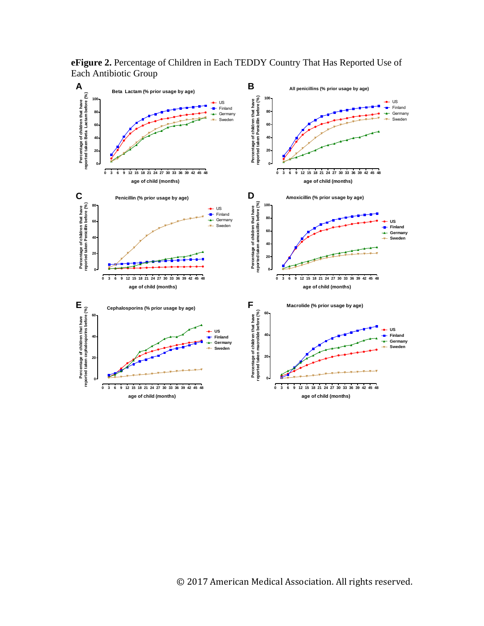

**eFigure 2.** Percentage of Children in Each TEDDY Country That Has Reported Use of Each Antibiotic Group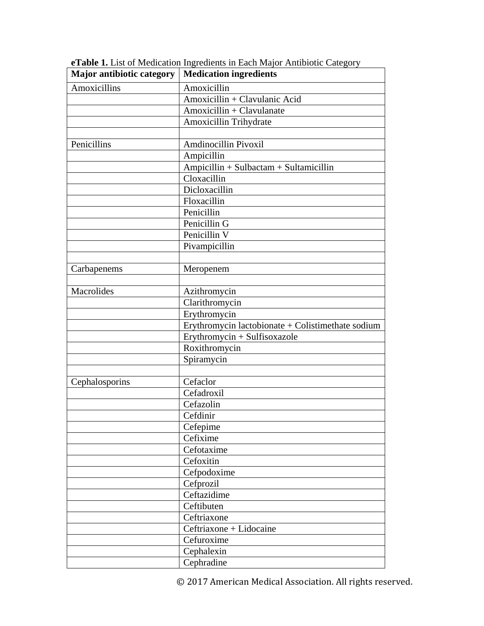| <b>Major antibiotic category</b> | <b>Medication ingredients</b>                     |  |  |
|----------------------------------|---------------------------------------------------|--|--|
| Amoxicillins                     | Amoxicillin                                       |  |  |
|                                  | Amoxicillin + Clavulanic Acid                     |  |  |
|                                  | Amoxicillin + Clavulanate                         |  |  |
|                                  | Amoxicillin Trihydrate                            |  |  |
|                                  |                                                   |  |  |
| Penicillins                      | Amdinocillin Pivoxil                              |  |  |
|                                  | Ampicillin                                        |  |  |
|                                  | Ampicillin + Sulbactam + Sultamicillin            |  |  |
|                                  | Cloxacillin                                       |  |  |
|                                  | Dicloxacillin                                     |  |  |
|                                  | Floxacillin                                       |  |  |
|                                  | Penicillin                                        |  |  |
|                                  | Penicillin G                                      |  |  |
|                                  | Penicillin V                                      |  |  |
|                                  | Pivampicillin                                     |  |  |
|                                  |                                                   |  |  |
| Carbapenems                      | Meropenem                                         |  |  |
|                                  |                                                   |  |  |
| Macrolides                       | Azithromycin                                      |  |  |
|                                  | Clarithromycin                                    |  |  |
|                                  | Erythromycin                                      |  |  |
|                                  | Erythromycin lactobionate + Colistimethate sodium |  |  |
|                                  | Erythromycin + Sulfisoxazole                      |  |  |
|                                  | Roxithromycin                                     |  |  |
|                                  | Spiramycin                                        |  |  |
|                                  |                                                   |  |  |
| Cephalosporins                   | Cefaclor                                          |  |  |
|                                  | Cefadroxil                                        |  |  |
|                                  | Cefazolin                                         |  |  |
|                                  | Cefdinir                                          |  |  |
|                                  | Cefepime                                          |  |  |
|                                  | Cefixime                                          |  |  |
|                                  | Cefotaxime                                        |  |  |
|                                  | Cefoxitin                                         |  |  |
|                                  | Cefpodoxime                                       |  |  |
|                                  | Cefprozil                                         |  |  |
|                                  | Ceftazidime                                       |  |  |
|                                  | Ceftibuten                                        |  |  |
|                                  | Ceftriaxone                                       |  |  |
|                                  | Ceftriaxone + Lidocaine                           |  |  |
|                                  | Cefuroxime                                        |  |  |
|                                  | Cephalexin                                        |  |  |
|                                  | Cephradine                                        |  |  |

**eTable 1.** List of Medication Ingredients in Each Major Antibiotic Category

 $@$  2017 American Medical Association. All rights reserved.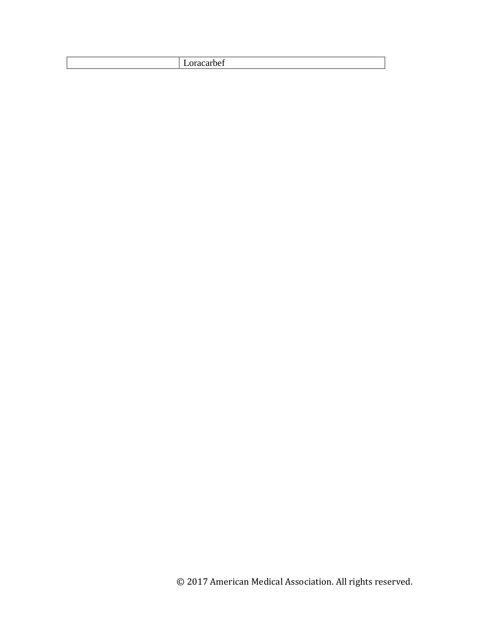|--|